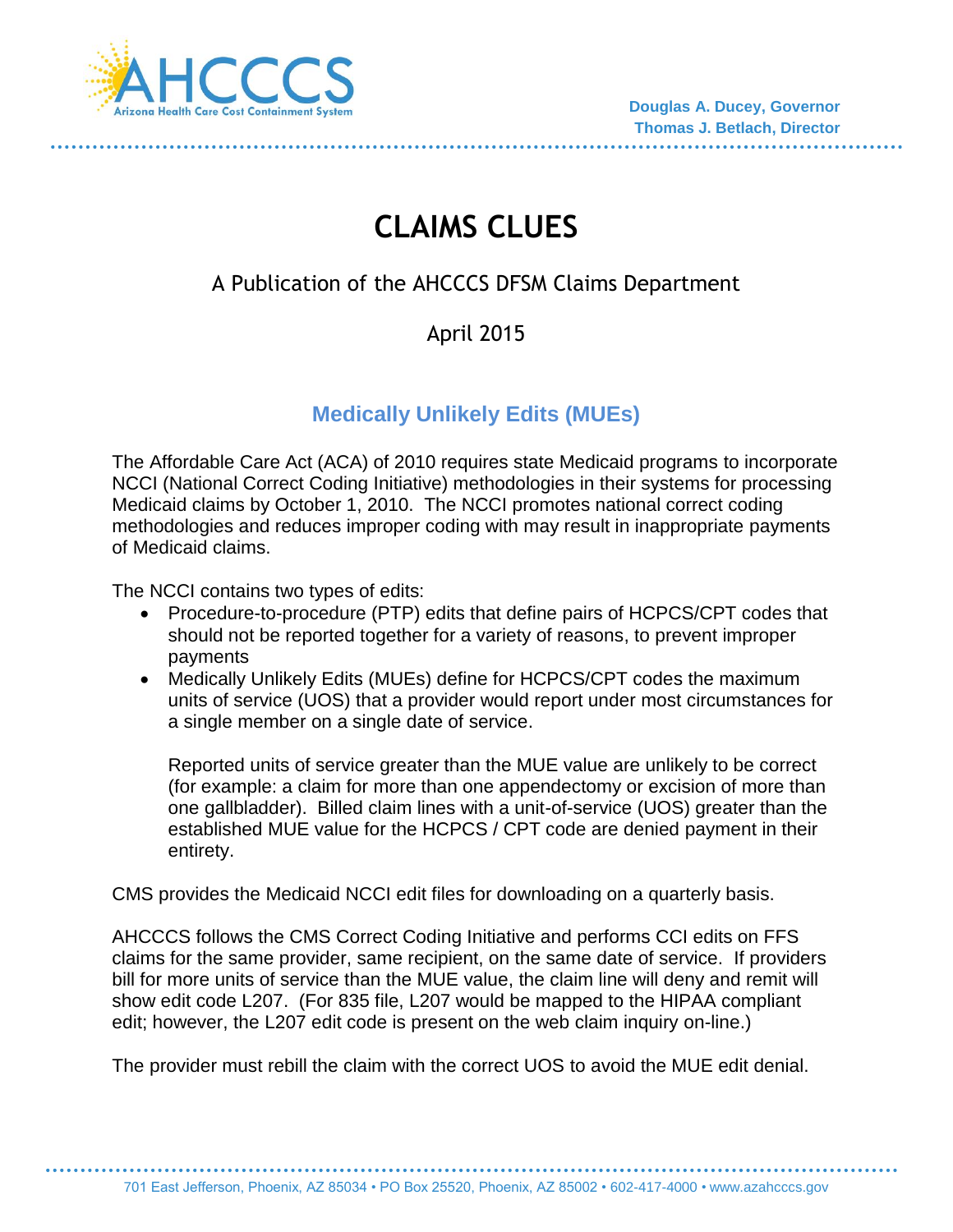

# **CLAIMS CLUES**

## A Publication of the AHCCCS DFSM Claims Department

## April 2015

## **Medically Unlikely Edits (MUEs)**

The Affordable Care Act (ACA) of 2010 requires state Medicaid programs to incorporate NCCI (National Correct Coding Initiative) methodologies in their systems for processing Medicaid claims by October 1, 2010. The NCCI promotes national correct coding methodologies and reduces improper coding with may result in inappropriate payments of Medicaid claims.

The NCCI contains two types of edits:

- Procedure-to-procedure (PTP) edits that define pairs of HCPCS/CPT codes that should not be reported together for a variety of reasons, to prevent improper payments
- Medically Unlikely Edits (MUEs) define for HCPCS/CPT codes the maximum units of service (UOS) that a provider would report under most circumstances for a single member on a single date of service.

Reported units of service greater than the MUE value are unlikely to be correct (for example: a claim for more than one appendectomy or excision of more than one gallbladder). Billed claim lines with a unit-of-service (UOS) greater than the established MUE value for the HCPCS / CPT code are denied payment in their entirety.

CMS provides the Medicaid NCCI edit files for downloading on a quarterly basis.

AHCCCS follows the CMS Correct Coding Initiative and performs CCI edits on FFS claims for the same provider, same recipient, on the same date of service. If providers bill for more units of service than the MUE value, the claim line will deny and remit will show edit code L207. (For 835 file, L207 would be mapped to the HIPAA compliant edit; however, the L207 edit code is present on the web claim inquiry on-line.)

The provider must rebill the claim with the correct UOS to avoid the MUE edit denial.